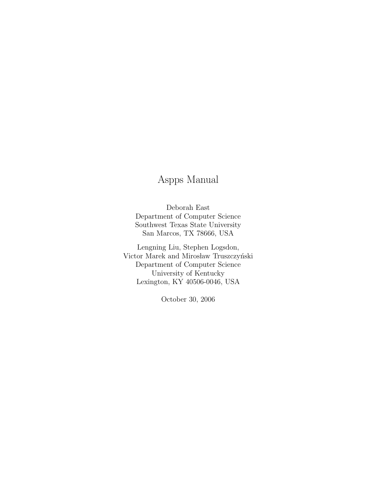# Aspps Manual

Deborah East Department of Computer Science Southwest Texas State University San Marcos, TX 78666, USA

Lengning Liu, Stephen Logsdon, Victor Marek and Mirosław Truszczyński Department of Computer Science University of Kentucky Lexington, KY 40506-0046, USA

October 30, 2006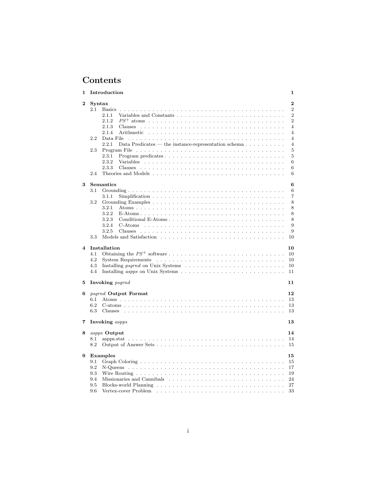# Contents

| 1                       | Introduction                |                                                                             |  |  |  |  |  |  |  |  |  |  |  |  | 1 |                |                |
|-------------------------|-----------------------------|-----------------------------------------------------------------------------|--|--|--|--|--|--|--|--|--|--|--|--|---|----------------|----------------|
| $\bf{2}$                | Syntax                      |                                                                             |  |  |  |  |  |  |  |  |  |  |  |  |   | $\overline{2}$ |                |
|                         | 2.1<br><b>Basics</b>        |                                                                             |  |  |  |  |  |  |  |  |  |  |  |  |   |                | $\overline{2}$ |
|                         | 2.1.1                       |                                                                             |  |  |  |  |  |  |  |  |  |  |  |  |   |                | $\overline{2}$ |
|                         | 2.1.2                       |                                                                             |  |  |  |  |  |  |  |  |  |  |  |  |   |                | $\overline{2}$ |
|                         | 2.1.3                       |                                                                             |  |  |  |  |  |  |  |  |  |  |  |  |   |                | $\overline{4}$ |
|                         | 2.1.4                       |                                                                             |  |  |  |  |  |  |  |  |  |  |  |  |   |                | $\overline{4}$ |
|                         | 2.2<br>Data File            |                                                                             |  |  |  |  |  |  |  |  |  |  |  |  |   |                | $\overline{4}$ |
|                         |                             |                                                                             |  |  |  |  |  |  |  |  |  |  |  |  |   |                |                |
|                         | 2.2.1                       | Data Predicates — the instance-representation schema $\ldots \ldots \ldots$ |  |  |  |  |  |  |  |  |  |  |  |  |   |                | $\overline{4}$ |
|                         | 2.3                         |                                                                             |  |  |  |  |  |  |  |  |  |  |  |  |   |                | 5              |
|                         | 2.3.1                       |                                                                             |  |  |  |  |  |  |  |  |  |  |  |  |   |                | 5              |
|                         | 2.3.2                       |                                                                             |  |  |  |  |  |  |  |  |  |  |  |  |   |                | 6              |
|                         | 2.3.3                       |                                                                             |  |  |  |  |  |  |  |  |  |  |  |  |   |                | 6              |
|                         | 2.4                         |                                                                             |  |  |  |  |  |  |  |  |  |  |  |  |   |                | 6              |
|                         |                             |                                                                             |  |  |  |  |  |  |  |  |  |  |  |  |   |                |                |
| 3                       | Semantics                   |                                                                             |  |  |  |  |  |  |  |  |  |  |  |  |   |                | 6              |
|                         | 3.1                         |                                                                             |  |  |  |  |  |  |  |  |  |  |  |  |   |                | 6              |
|                         | 3.1.1                       |                                                                             |  |  |  |  |  |  |  |  |  |  |  |  |   |                | $\overline{7}$ |
|                         | 3.2                         |                                                                             |  |  |  |  |  |  |  |  |  |  |  |  |   |                | 8              |
|                         | 3.2.1                       |                                                                             |  |  |  |  |  |  |  |  |  |  |  |  |   |                | 8              |
|                         | 3.2.2                       |                                                                             |  |  |  |  |  |  |  |  |  |  |  |  |   |                | 8              |
|                         | 3.2.3                       |                                                                             |  |  |  |  |  |  |  |  |  |  |  |  |   |                | 8              |
|                         | 3.2.4                       |                                                                             |  |  |  |  |  |  |  |  |  |  |  |  |   |                | 9              |
|                         | 3.2.5                       |                                                                             |  |  |  |  |  |  |  |  |  |  |  |  |   |                | 9              |
|                         |                             |                                                                             |  |  |  |  |  |  |  |  |  |  |  |  |   |                |                |
|                         | 3.3                         |                                                                             |  |  |  |  |  |  |  |  |  |  |  |  |   |                | 10             |
| $\overline{\mathbf{4}}$ | Installation                |                                                                             |  |  |  |  |  |  |  |  |  |  |  |  |   |                | 10             |
|                         | 4.1                         |                                                                             |  |  |  |  |  |  |  |  |  |  |  |  |   |                | 10             |
|                         |                             |                                                                             |  |  |  |  |  |  |  |  |  |  |  |  |   |                |                |
|                         | 4.2                         |                                                                             |  |  |  |  |  |  |  |  |  |  |  |  |   |                | 10             |
|                         | 4.3                         |                                                                             |  |  |  |  |  |  |  |  |  |  |  |  |   |                | 10             |
|                         | 4.4                         |                                                                             |  |  |  |  |  |  |  |  |  |  |  |  |   |                | 11             |
| 5                       | Invoking <i>psgrnd</i>      |                                                                             |  |  |  |  |  |  |  |  |  |  |  |  |   |                | 11             |
|                         |                             |                                                                             |  |  |  |  |  |  |  |  |  |  |  |  |   |                |                |
| 6                       | <i>psgrnd</i> Output Format |                                                                             |  |  |  |  |  |  |  |  |  |  |  |  |   |                | 12             |
|                         | 6.1                         |                                                                             |  |  |  |  |  |  |  |  |  |  |  |  |   |                | 13             |
|                         | 6.2                         |                                                                             |  |  |  |  |  |  |  |  |  |  |  |  |   |                | 13             |
|                         | 6.3                         |                                                                             |  |  |  |  |  |  |  |  |  |  |  |  |   |                | 13             |
|                         |                             |                                                                             |  |  |  |  |  |  |  |  |  |  |  |  |   |                |                |
| 7                       | Invoking <i>aspps</i>       |                                                                             |  |  |  |  |  |  |  |  |  |  |  |  |   |                | 13             |
| 8                       | aspps Output                |                                                                             |  |  |  |  |  |  |  |  |  |  |  |  |   |                | 14             |
|                         | 8.1                         |                                                                             |  |  |  |  |  |  |  |  |  |  |  |  |   |                | 14             |
|                         | 8.2                         |                                                                             |  |  |  |  |  |  |  |  |  |  |  |  |   |                | 15             |
|                         |                             |                                                                             |  |  |  |  |  |  |  |  |  |  |  |  |   |                |                |
| 9                       | Examples                    |                                                                             |  |  |  |  |  |  |  |  |  |  |  |  |   |                | 15             |
|                         | 9.1                         |                                                                             |  |  |  |  |  |  |  |  |  |  |  |  |   |                | 15             |
|                         | 9.2                         |                                                                             |  |  |  |  |  |  |  |  |  |  |  |  |   |                | 17             |
|                         | 9.3                         |                                                                             |  |  |  |  |  |  |  |  |  |  |  |  |   |                |                |
|                         |                             |                                                                             |  |  |  |  |  |  |  |  |  |  |  |  |   |                | 19             |
|                         | 9.4                         |                                                                             |  |  |  |  |  |  |  |  |  |  |  |  |   |                | 24             |
|                         | 9.5                         |                                                                             |  |  |  |  |  |  |  |  |  |  |  |  |   |                | 27             |
|                         | 9.6                         |                                                                             |  |  |  |  |  |  |  |  |  |  |  |  |   |                | 33             |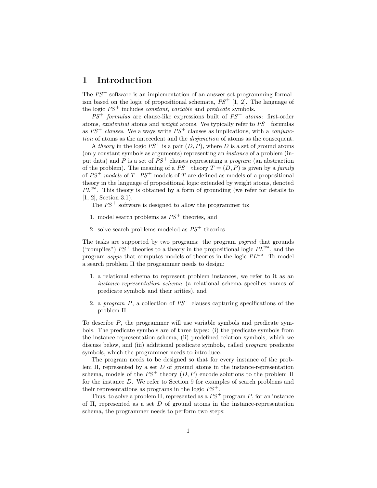# 1 Introduction

The  $PS<sup>+</sup>$  software is an implementation of an answer-set programming formalism based on the logic of propositional schemata,  $PS^+$  [1, 2]. The language of the logic  $PS^+$  includes *constant*, *variable* and *predicate* symbols.

 $PS^+$  formulas are clause-like expressions built of  $PS^+$  atoms: first-order atoms, existential atoms and weight atoms. We typically refer to  $PS<sup>+</sup>$  formulas as  $PS^+$  clauses. We always write  $PS^+$  clauses as implications, with a conjunction of atoms as the antecedent and the *disjunction* of atoms as the consequent.

A theory in the logic  $PS^+$  is a pair  $(D, P)$ , where D is a set of ground atoms (only constant symbols as arguments) representing an instance of a problem (input data) and P is a set of  $PS<sup>+</sup>$  clauses representing a *program* (an abstraction of the problem). The meaning of a  $PS^+$  theory  $T = (D, P)$  is given by a *family* of  $PS^+$  models of T.  $PS^+$  models of T are defined as models of a propositional theory in the language of propositional logic extended by weight atoms, denoted  $PL^{wa}$ . This theory is obtained by a form of grounding (we refer for details to [1, 2], Section 3.1).

The  $PS<sup>+</sup>$  software is designed to allow the programmer to:

- 1. model search problems as  $PS<sup>+</sup>$  theories, and
- 2. solve search problems modeled as  $PS^+$  theories.

The tasks are supported by two programs: the program psgrnd that grounds ("compiles")  $PS^+$  theories to a theory in the propositional logic  $PL^{wa}$ , and the program aspps that computes models of theories in the logic  $PL^{wa}$ . To model a search problem Π the programmer needs to design:

- 1. a relational schema to represent problem instances, we refer to it as an instance-representation schema (a relational schema specifies names of predicate symbols and their arities), and
- 2. a program P, a collection of  $PS<sup>+</sup>$  clauses capturing specifications of the problem Π.

To describe P, the programmer will use variable symbols and predicate symbols. The predicate symbols are of three types: (i) the predicate symbols from the instance-representation schema, (ii) predefined relation symbols, which we discuss below, and (iii) additional predicate symbols, called *program* predicate symbols, which the programmer needs to introduce.

The program needs to be designed so that for every instance of the problem  $\Pi$ , represented by a set D of ground atoms in the instance-representation schema, models of the  $PS^+$  theory  $(D, P)$  encode solutions to the problem  $\Pi$ for the instance D. We refer to Section 9 for examples of search problems and their representations as programs in the logic  $PS^+$ .

Thus, to solve a problem  $\Pi$ , represented as a  $PS^+$  program P, for an instance of  $\Pi$ , represented as a set D of ground atoms in the instance-representation schema, the programmer needs to perform two steps: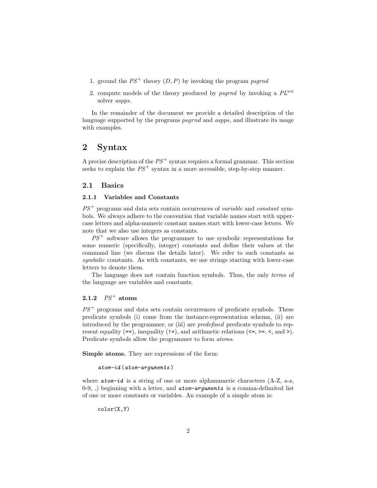- 1. ground the  $PS^+$  theory  $(D, P)$  by invoking the program psgrnd
- 2. compute models of the theory produced by psgrnd by invoking a  $PL^{wa}$ solver aspps.

In the remainder of the document we provide a detailed description of the language supported by the programs *psgrnd* and *aspps*, and illustrate its usage with examples.

# 2 Syntax

A precise description of the  $PS<sup>+</sup>$  syntax requiers a formal grammar. This section seeks to explain the  $PS^+$  syntax in a more accessible, step-by-step manner.

### 2.1 Basics

### 2.1.1 Variables and Constants

 $PS<sup>+</sup>$  programs and data sets contain occurrences of *variable* and *constant* symbols. We always adhere to the convention that variable names start with uppercase letters and alpha-numeric constant names start with lower-case letters. We note that we also use integers as constants.

 $PS<sup>+</sup>$  software allows the programmer to use symbolic representations for some numeric (specifically, integer) constants and define their values at the command line (we discuss the details later). We refer to such constants as symbolic constants. As with constants, we use strings starting with lower-case letters to denote them.

The language does not contain function symbols. Thus, the only terms of the language are variables and constants.

# 2.1.2  $PS^+$  atoms

 $PS<sup>+</sup>$  programs and data sets contain occurrences of predicate symbols. These predicate symbols (i) come from the instance-representation schema, (ii) are introduced by the programmer, or (iii) are predefined predicate symbols to represent equality  $(==)$ , inequality  $(!=)$ , and arithmetic relations  $(<=, >=, <, and >).$ Predicate symbols allow the programmer to form atoms.

Simple atoms. They are expressions of the form:

```
atom-id (atom-arguments )
```
where  $atom - id$  is a string of one or more alphanumeric characters  $(A-Z, a-z,$ 0-9, ) beginning with a letter, and  $atom-arguments$  is a comma-delimited list of one or more constants or variables. An example of a simple atom is:

color(X,Y)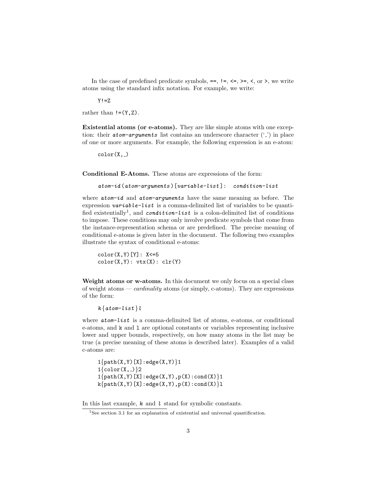In the case of predefined predicate symbols,  $==$ ,  $!=$ ,  $<=$ ,  $\geq$ ,  $\lt$ , or  $\gt$ , we write atoms using the standard infix notation. For example, we write:

 $Y! = Z$ 

rather than  $!=$ (Y,Z).

Existential atoms (or e-atoms). They are like simple atoms with one exception: their *atom-arguments* list contains an underscore character  $('')$  in place of one or more arguments. For example, the following expression is an e-atom:

 $color(X, )$ 

Conditional E-Atoms. These atoms are expressions of the form:

```
atom-id (atom-arguments )[variable-list ]: condition-list
```
where  $atom-id$  and  $atom-arguments$  have the same meaning as before. The expression  $variable-list$  is a comma-delimited list of variables to be quantified existentially<sup>1</sup>, and condition-list is a colon-delimited list of conditions to impose. These conditions may only involve predicate symbols that come from the instance-representation schema or are predefined. The precise meaning of conditional e-atoms is given later in the document. The following two examples illustrate the syntax of conditional e-atoms:

```
color(X,Y)[Y]: X<=5color(X,Y): vtx(X): clr(Y)
```
Weight atoms or w-atoms. In this document we only focus on a special class of weight atoms — *cardinality* atoms (or simply, c-atoms). They are expressions of the form:

 $k \{atom-list\}$ l

where **atom-list** is a comma-delimited list of atoms, e-atoms, or conditional e-atoms, and k and l are optional constants or variables representing inclusive lower and upper bounds, respectively, on how many atoms in the list may be true (a precise meaning of these atoms is described later). Examples of a valid c-atoms are:

```
1\{\text{path}(X,Y)[X]:\text{edge}(X,Y)\}\text{1}1{color(X,_)}2
1\{\text{path}(X,Y)[X]:\text{edge}(X,Y),p(X):\text{cond}(X)\}1
k\{\text{path}(X,Y)[X]:\text{edge}(X,Y),p(X):\text{cond}(X)\}l
```
In this last example,  $k$  and  $l$  stand for symbolic constants.

<sup>&</sup>lt;sup>1</sup>See section 3.1 for an explanation of existential and universal quantification.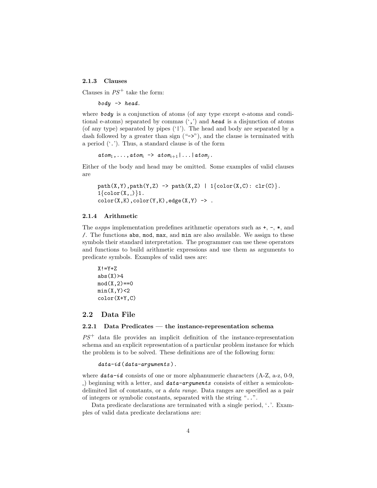### 2.1.3 Clauses

Clauses in  $PS^+$  take the form:

 $body \rightarrow head.$ 

where  $\boldsymbol{b} \boldsymbol{\delta} \boldsymbol{d} \boldsymbol{y}$  is a conjunction of atoms (of any type except e-atoms and conditional e-atoms) separated by commas  $(',')$  and head is a disjunction of atoms (of any type) separated by pipes ('|'). The head and body are separated by a dash followed by a greater than sign ("->"), and the clause is terminated with a period  $(′,′)$ . Thus, a standard clause is of the form

 $atom_1, \ldots, atom_i \rightarrow atom_{i+1} | \ldots | atom_i.$ 

Either of the body and head may be omitted. Some examples of valid clauses are

```
path(X,Y), path(Y,Z) -> path(X,Z) | 1\{color(X,C): clr(C)\}.1\{\text{color}(X, \_)\}\{1.color(X,K),color(Y,K),edge(X,Y) \rightarrow .
```
#### 2.1.4 Arithmetic

The *aspps* implementation predefines arithmetic operators such as  $+$ ,  $-$ ,  $*$ , and /. The functions abs, mod, max, and min are also available. We assign to these symbols their standard interpretation. The programmer can use these operators and functions to build arithmetic expressions and use them as arguments to predicate symbols. Examples of valid uses are:

```
X! = Y+Zabs(X)>4
mod(X,2) == 0min(X, Y) < 2color(X+Y,C)
```
# 2.2 Data File

### 2.2.1 Data Predicates — the instance-representation schema

 $PS<sup>+</sup>$  data file provides an implicit definition of the instance-representation schema and an explicit representation of a particular problem instance for which the problem is to be solved. These definitions are of the following form:

 $data-id(data-arguments)$ .

where  $data-id$  consists of one or more alphanumeric characters  $(A-Z, a-z, 0-9, ...)$ ) beginning with a letter, and  $data-arguments$  consists of either a semicolondelimited list of constants, or a data range. Data ranges are specified as a pair of integers or symbolic constants, separated with the string "..".

Data predicate declarations are terminated with a single period, '.'. Examples of valid data predicate declarations are: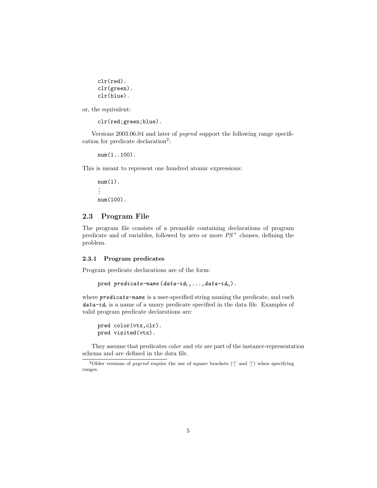```
clr(red).
clr(green).
clr(blue).
```
or, the equivalent:

```
clr(red;green;blue).
```
Versions 2003.06.04 and later of psgrnd support the following range specification for predicate declaration<sup>2</sup>:

num(1..100).

This is meant to represent one hundred atomic expressions:

 $num(1)$ . . . . num(100).

### 2.3 Program File

The program file consists of a preamble containing declarations of program predicate and of variables, followed by zero or more  $PS<sup>+</sup>$  clauses, defining the problem.

#### 2.3.1 Program predicates

Program predicate declarations are of the form:

```
pred predicate-name (data-id_1, \ldots, data-id_n).
```
where **predicate-name** is a user-specified string naming the predicate, and each  $data - id_i$  is a name of a unary predicate specified in the data file. Examples of valid program predicate declarations are:

```
pred color(vtx,clr).
pred visited(vtx).
```
They assume that predicates *color* and *vtx* are part of the instance-representation schema and are defined in the data file.

<sup>&</sup>lt;sup>2</sup>Older versions of *psgrnd* require the use of square brackets ( $\frac{1}{2}$  and  $\frac{1}{2}$ ) when specifying ranges.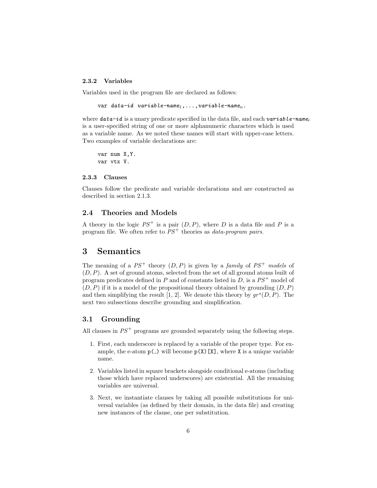### 2.3.2 Variables

Variables used in the program file are declared as follows:

var data-id variable-name $_1,\ldots,$ variable-name $_n$ .

where  $data-id$  is a unary predicate specified in the data file, and each variable-name<sub>i</sub> is a user-specified string of one or more alphanumeric characters which is used as a variable name. As we noted these names will start with upper-case letters. Two examples of variable declarations are:

var num X,Y. var vtx V.

#### 2.3.3 Clauses

Clauses follow the predicate and variable declarations and are constructed as described in section 2.1.3.

# 2.4 Theories and Models

A theory in the logic  $PS^+$  is a pair  $(D, P)$ , where D is a data file and P is a program file. We often refer to  $PS<sup>+</sup>$  theories as *data-program pairs*.

# 3 Semantics

The meaning of a  $PS^+$  theory  $(D, P)$  is given by a family of  $PS^+$  models of  $(D, P)$ . A set of ground atoms, selected from the set of all ground atoms built of program predicates defined in P and of constants listed in D, is a  $PS^+$  model of  $(D, P)$  if it is a model of the propositional theory obtained by grounding  $(D, P)$ and then simplifying the result [1, 2]. We denote this theory by  $gr^s(D, P)$ . The next two subsections describe grounding and simplification.

# 3.1 Grounding

All clauses in  $PS^+$  programs are grounded separately using the following steps.

- 1. First, each underscore is replaced by a variable of the proper type. For example, the e-atom  $p(\ )$  will become  $p(X)[X]$ , where X is a unique variable name.
- 2. Variables listed in square brackets alongside conditional e-atoms (including those which have replaced underscores) are existential. All the remaining variables are universal.
- 3. Next, we instantiate clauses by taking all possible substitutions for universal variables (as defined by their domain, in the data file) and creating new instances of the clause, one per substitution.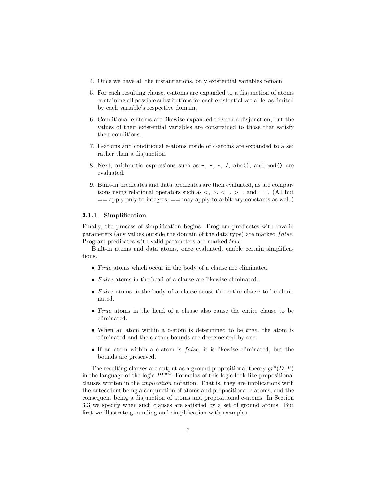- 4. Once we have all the instantiations, only existential variables remain.
- 5. For each resulting clause, e-atoms are expanded to a disjunction of atoms containing all possible substitutions for each existential variable, as limited by each variable's respective domain.
- 6. Conditional e-atoms are likewise expanded to such a disjunction, but the values of their existential variables are constrained to those that satisfy their conditions.
- 7. E-atoms and conditional e-atoms inside of c-atoms are expanded to a set rather than a disjunction.
- 8. Next, arithmetic expressions such as  $+, -, *, /,$  abs(), and mod() are evaluated.
- 9. Built-in predicates and data predicates are then evaluated, as are comparisons using relational operators such as  $\langle , \rangle, \langle =, \rangle =$ , and  $==$ . (All but  $=$  apply only to integers;  $=$  may apply to arbitrary constants as well.)

#### 3.1.1 Simplification

Finally, the process of simplification begins. Program predicates with invalid parameters (any values outside the domain of the data type) are marked false. Program predicates with valid parameters are marked true.

Built-in atoms and data atoms, once evaluated, enable certain simplifications.

- True atoms which occur in the body of a clause are eliminated.
- False atoms in the head of a clause are likewise eliminated.
- False atoms in the body of a clause cause the entire clause to be eliminated.
- True atoms in the head of a clause also cause the entire clause to be eliminated.
- When an atom within a c-atom is determined to be *true*, the atom is eliminated and the c-atom bounds are decremented by one.
- If an atom within a c-atom is false, it is likewise eliminated, but the bounds are preserved.

The resulting clauses are output as a ground propositional theory  $gr^s(D, P)$ in the language of the logic  $PL^{wa}$ . Formulas of this logic look like propositional clauses written in the implication notation. That is, they are implications with the antecedent being a conjunction of atoms and propositional c-atoms, and the consequent being a disjunction of atoms and propositional c-atoms. In Section 3.3 we specify when such clauses are satisfied by a set of ground atoms. But first we illustrate grounding and simplification with examples.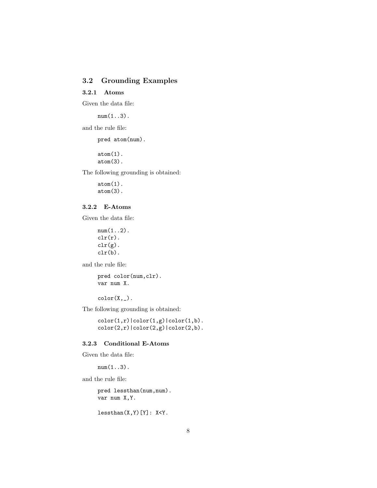# 3.2 Grounding Examples

# 3.2.1 Atoms

Given the data file:

 $num(1..3)$ .

and the rule file:

pred atom(num).

 $atom(1)$ . atom(3).

The following grounding is obtained:

 $atom(1)$ .  $atom(3)$ .

# 3.2.2 E-Atoms

Given the data file:

 $num(1..2)$ .  $\text{clr}(r)$ .  $\text{clr}(g)$ . clr(b).

and the rule file:

pred color(num,clr). var num X.

 $color(X, _-)$ .

The following grounding is obtained:

 $color(1,r)|color(1,g)|color(1,b)$ . color(2,r)|color(2,g)|color(2,b).

### 3.2.3 Conditional E-Atoms

Given the data file:

 $num(1..3)$ .

and the rule file:

pred lessthan(num,num). var num X,Y.

 $less than(X,Y)[Y]: X < Y.$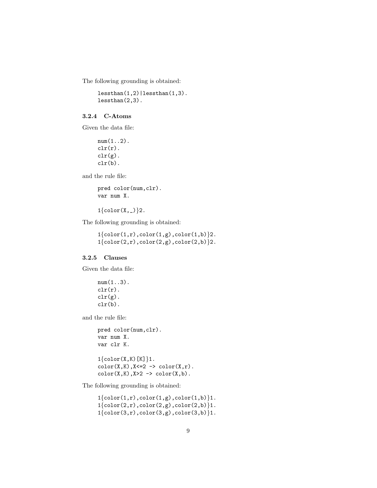The following grounding is obtained:

lessthan(1,2)|lessthan(1,3). lessthan(2,3).

### 3.2.4 C-Atoms

Given the data file:

 $num(1..2)$ .  $\text{clr}(r)$ .  $\text{clr}(g)$ . clr(b).

and the rule file:

pred color(num,clr). var num X.

 $1{color(X, _{\_})}$ ?.

The following grounding is obtained:

 $1\{\text{color}(1,r),\text{color}(1,g),\text{color}(1,b)\}$ 2.  $1\{\text{color}(2,r),\text{color}(2,g),\text{color}(2,b)\}$ 2.

# 3.2.5 Clauses

Given the data file:

 $num(1..3)$ .  $\text{clr}(r)$ .  $\text{clr}(g)$ . clr(b).

and the rule file:

pred color(num,clr). var num X. var clr K.  $1\{\text{color}(X,K)[K]\}.$  $color(X,K),X<=2$  ->  $color(X,r).$  $color(X,K),X>2 \rightarrow color(X,b).$ 

The following grounding is obtained:

 $1{color(1,r),color(1,g),color(1,b)}$ .  $1{color(2,r),color(2,g),color(2,b)}$ 1.  $1{color(3,r),color(3,g),color(3,b)}1$ .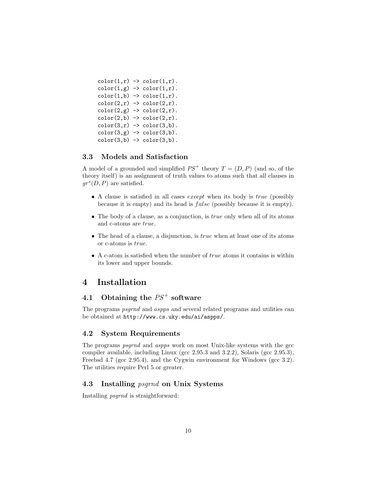```
color(1,r) \rightarrow color(1,r).
color(1,g) \rightarrow color(1,r).
color(1,b) \rightarrow color(1,r).
color(2,r) \rightarrow color(2,r).
color(2,g) \rightarrow color(2,r).
color(2,b) \rightarrow color(2,r).
color(3,r) \rightarrow color(3,b).
color(3,g) \rightarrow color(3,b).
color(3,b) \rightarrow color(3,b).
```
# 3.3 Models and Satisfaction

A model of a grounded and simplified  $PS^+$  theory  $T = (D, P)$  (and so, of the theory itself) is an assignment of truth values to atoms such that all clauses in  $gr^s(D, P)$  are satisfied.

- A clause is satisfied in all cases *except* when its body is *true* (possibly because it is empty) and its head is false (possibly because it is empty).
- The body of a clause, as a conjunction, is *true* only when all of its atoms and c-atoms are true.
- The head of a clause, a disjunction, is  $true$  when at least one of its atoms or c-atoms is true.
- A c-atom is satisfied when the number of *true* atoms it contains is within its lower and upper bounds.

# 4 Installation

# 4.1 Obtaining the  $PS^+$  software

The programs *psgrnd* and *aspps* and several related programs and utilities can be obtained at http://www.cs.uky.edu/ai/aspps/.

### 4.2 System Requirements

The programs psgrnd and aspps work on most Unix-like systems with the gcc compiler available, including Linux (gcc 2.95.3 and 3.2.2), Solaris (gcc 2.95.3), Freebsd 4.7 (gcc 2.95.4), and the Cygwin environment for Windows (gcc 3.2). The utilities require Perl 5 or greater.

## 4.3 Installing psgrnd on Unix Systems

Installing psgrnd is straightforward: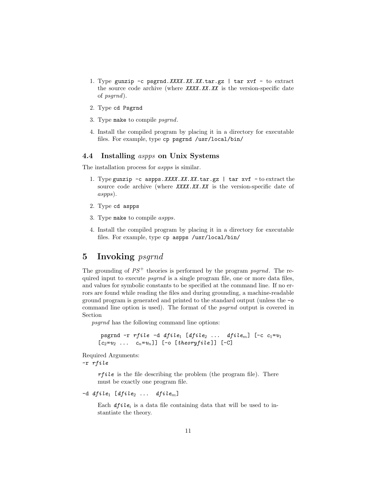- 1. Type gunzip  $-c$  psgrnd. XXXX. XX. XX. tar. gz | tar xvf to extract the source code archive (where  $XXX.XX.XX$  is the version-specific date of psgrnd).
- 2. Type cd Psgrnd
- 3. Type make to compile psgrnd.
- 4. Install the compiled program by placing it in a directory for executable files. For example, type cp psgrnd /usr/local/bin/

## 4.4 Installing aspps on Unix Systems

The installation process for aspps is similar.

- 1. Type gunzip  $-c$  aspps. XXXX. XX. XX. tar.gz | tar xvf  $-c$  to extract the source code archive (where XXXX.XX.XX is the version-specific date of aspps).
- 2. Type cd aspps
- 3. Type make to compile aspps.
- 4. Install the compiled program by placing it in a directory for executable files. For example, type cp aspps /usr/local/bin/

# 5 Invoking psgrnd

The grounding of  $PS^+$  theories is performed by the program psgrnd. The required input to execute *psgrnd* is a single program file, one or more data files, and values for symbolic constants to be specified at the command line. If no errors are found while reading the files and during grounding, a machine-readable ground program is generated and printed to the standard output (unless the -o command line option is used). The format of the psgrnd output is covered in Section

psgrnd has the following command line options:

```
psgrnd -r rfile -d dfile<sub>1</sub> [dfile<sub>2</sub> ... dfile<sub>m</sub>] [-c c<sub>1</sub>=v_1[c_2=v_2 \ldots c_n=v_n]] [-o [theoryfile]] [-C]
```
Required Arguments:

-r rfile

 $rfile$  is the file describing the problem (the program file). There must be exactly one program file.

-d  $dfile_1$  [dfile<sub>2</sub> ... dfile<sub>m</sub>]

Each  $dfile_i$  is a data file containing data that will be used to instantiate the theory.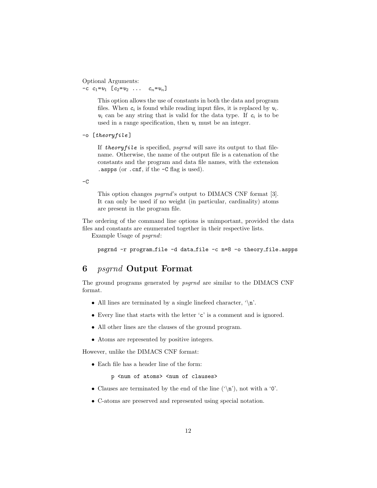Optional Arguments:  $-c$   $c_1 = v_1$   $[c_2 = v_2$  ...  $c_n = v_n]$ 

> This option allows the use of constants in both the data and program files. When  $c_i$  is found while reading input files, it is replaced by  $v_i$ .  $v_i$  can be any string that is valid for the data type. If  $c_i$  is to be used in a range specification, then  $v_i$  must be an integer.

```
-o [theoryfile ]
```
If theoryfile is specified,  $psgrnd$  will save its output to that filename. Otherwise, the name of the output file is a catenation of the constants and the program and data file names, with the extension .aspps (or .cnf, if the -C flag is used).

 $-c$ 

This option changes psgrnd's output to DIMACS CNF format [3]. It can only be used if no weight (in particular, cardinality) atoms are present in the program file.

The ordering of the command line options is unimportant, provided the data files and constants are enumerated together in their respective lists.

Example Usage of psgrnd:

psgrnd -r program file -d data file -c n=8 -o theory file.aspps

# 6 psgrnd Output Format

The ground programs generated by psgrnd are similar to the DIMACS CNF format.

- All lines are terminated by a single linefeed character,  $\langle \n\rangle$ n'.
- Every line that starts with the letter 'c' is a comment and is ignored.
- All other lines are the clauses of the ground program.
- Atoms are represented by positive integers.

However, unlike the DIMACS CNF format:

• Each file has a header line of the form:

p <num of atoms> <num of clauses>

- Clauses are terminated by the end of the line  $(\hat{\ }$ n'), not with a '0'.
- C-atoms are preserved and represented using special notation.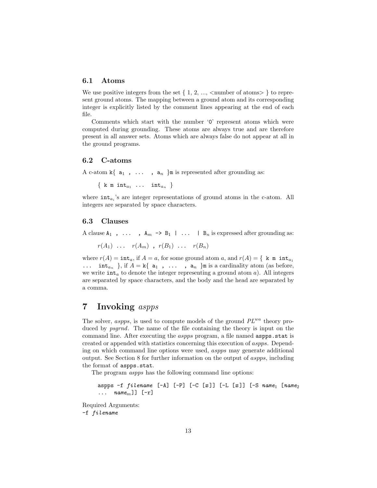### 6.1 Atoms

We use positive integers from the set  $\{1, 2, ...,$  < number of atoms  $\}$  to represent ground atoms. The mapping between a ground atom and its corresponding integer is explicitly listed by the comment lines appearing at the end of each file.

Comments which start with the number '0' represent atoms which were computed during grounding. These atoms are always true and are therefore present in all answer sets. Atoms which are always false do not appear at all in the ground programs.

### 6.2 C-atoms

A c-atom  $k\{a_1, \ldots, a_n\}$ m is represented after grounding as:

 $\{$  k m int $_{a_1}$  ... int $_{a_n}$   $\}$ 

where  $int_{a_i}$ 's are integer representations of ground atoms in the c-atom. All integers are separated by space characters.

### 6.3 Clauses

A clause  $A_1$ , ...,  $A_m \rightarrow B_1$  | ... |  $B_n$  is expressed after grounding as:

 $r(A_1)$  ...  $r(A_m)$ ,  $r(B_1)$  ...  $r(B_n)$ 

where  $r(A) = \text{int}_a$ , if  $A = a$ , for some ground atom a, and  $r(A) = \{ k \text{ m int}_{a_1}$ ...  $\text{int}_{a_n}$  }, if  $A = \mathbf{k} \{ \mathbf{a}_1, \ldots, \mathbf{a}_n \}$ m is a cardinality atom (as before, we write  $\text{int}_a$  to denote the integer representing a ground atom a). All integers are separated by space characters, and the body and the head are separated by a comma.

# 7 Invoking aspps

The solver, aspps, is used to compute models of the ground  $PL^{wa}$  theory produced by *psgrnd*. The name of the file containing the theory is input on the command line. After executing the *aspps* program, a file named **aspps**.stat is created or appended with statistics concerning this execution of aspps. Depending on which command line options were used, aspps may generate additional output. See Section 8 for further information on the output of aspps, including the format of aspps.stat.

The program aspps has the following command line options:

aspps -f  $filename$   $[-A]$   $[-P]$   $[-C [x]]$   $[-L [x]]$   $[-S$  name<sub>1</sub>  $[name_2]$  $\ldots$  name<sub>m</sub>]] [-r]

Required Arguments: -f filename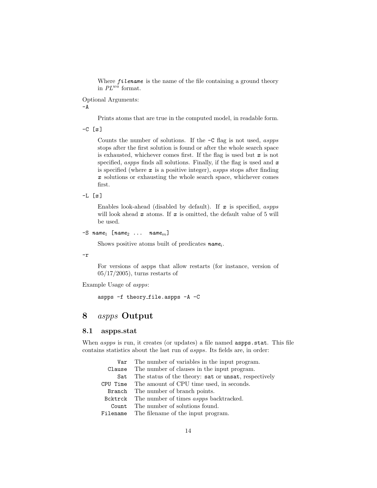Where  $filename$  is the name of the file containing a ground theory in  $PL^{wa}$  format.

Optional Arguments:

 $-A$ 

Prints atoms that are true in the computed model, in readable form.

 $-C$   $[x]$ 

Counts the number of solutions. If the -C flag is not used, aspps stops after the first solution is found or after the whole search space is exhausted, whichever comes first. If the flag is used but  $x$  is not specified, aspps finds all solutions. Finally, if the flag is used and  $x$ is specified (where  $x$  is a positive integer), aspps stops after finding x solutions or exhausting the whole search space, whichever comes first.

 $-L$   $[x]$ 

Enables look-ahead (disabled by default). If  $x$  is specified, aspps will look ahead  $x$  atoms. If  $x$  is omitted, the default value of 5 will be used.

```
-S name<sub>1</sub> [name<sub>2</sub> ... name<sub>m</sub>]
```
Shows positive atoms built of predicates  $name_i$ .

-r

For versions of aspps that allow restarts (for instance, version of 05/17/2005), turns restarts of

Example Usage of aspps:

aspps -f theory file.aspps -A -C

# 8 aspps Output

## 8.1 aspps.stat

When *aspps* is run, it creates (or updates) a file named **aspps**.stat. This file contains statistics about the last run of aspps. Its fields are, in order:

| Var The number of variables in the input program.        |
|----------------------------------------------------------|
| Clause The number of clauses in the input program.       |
| Sat The status of the theory: sat or unsat, respectively |
| CPU Time The amount of CPU time used, in seconds.        |
| Branch The number of branch points.                      |
| Borktrick The number of times aspps backtracked.         |
| Count The number of solutions found.                     |
| Filename The filename of the input program.              |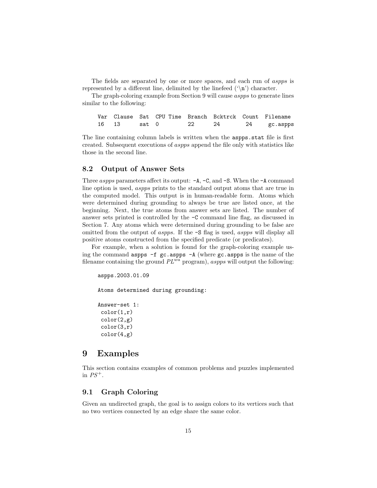The fields are separated by one or more spaces, and each run of aspps is represented by a different line, delimited by the linefeed  $(\hat{\ })$  character.

The graph-coloring example from Section 9 will cause aspps to generate lines similar to the following:

|               |  |    |    | Var Clause Sat CPU-Time Branch Bcktrck Count Filename |
|---------------|--|----|----|-------------------------------------------------------|
| 16  13  sat 0 |  | 22 | 24 |                                                       |

The line containing column labels is written when the aspps.stat file is first created. Subsequent executions of aspps append the file only with statistics like those in the second line.

# 8.2 Output of Answer Sets

Three *aspps* parameters affect its output:  $-A$ ,  $-C$ , and  $-S$ . When the  $-A$  command line option is used, aspps prints to the standard output atoms that are true in the computed model. This output is in human-readable form. Atoms which were determined during grounding to always be true are listed once, at the beginning. Next, the true atoms from answer sets are listed. The number of answer sets printed is controlled by the -C command line flag, as discussed in Section 7. Any atoms which were determined during grounding to be false are omitted from the output of aspps. If the -S flag is used, aspps will display all positive atoms constructed from the specified predicate (or predicates).

For example, when a solution is found for the graph-coloring example using the command aspps  $-f$  gc.aspps  $-A$  (where gc.aspps is the name of the filename containing the ground  $PL^{wa}$  program), aspps will output the following:

```
aspps.2003.01.09
```
Atoms determined during grounding:

Answer-set 1:  $color(1,r)$ color(2,g) color(3,r) color(4,g)

# 9 Examples

This section contains examples of common problems and puzzles implemented in  $PS^+$ .

## 9.1 Graph Coloring

Given an undirected graph, the goal is to assign colors to its vertices such that no two vertices connected by an edge share the same color.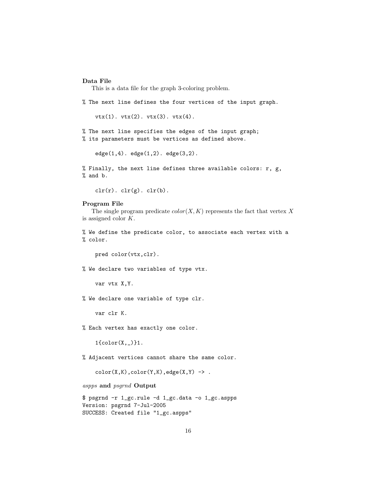### Data File

This is a data file for the graph 3-coloring problem.

% The next line defines the four vertices of the input graph.

vtx(1). vtx(2). vtx(3). vtx(4).

% The next line specifies the edges of the input graph; % its parameters must be vertices as defined above.

 $edge(1,4)$ .  $edge(1,2)$ .  $edge(3,2)$ .

% Finally, the next line defines three available colors:  $r$ ,  $g$ , % and b.

 $\text{clr}(r)$ .  $\text{clr}(g)$ .  $\text{clr}(b)$ .

### Program File

The single program predicate  $color(X, K)$  represents the fact that vertex X is assigned color K.

% We define the predicate color, to associate each vertex with a % color.

pred color(vtx,clr).

% We declare two variables of type vtx.

var vtx X,Y.

% We declare one variable of type clr.

var clr K.

% Each vertex has exactly one color.

1{color(X,\_)}1.

% Adjacent vertices cannot share the same color.

 $color(X,K),color(Y,K),edge(X,Y)$  ->.

aspps and psgrnd Output

\$ psgrnd -r 1\_gc.rule -d 1\_gc.data -o 1\_gc.aspps Version: psgrnd 7-Jul-2005 SUCCESS: Created file "1\_gc.aspps"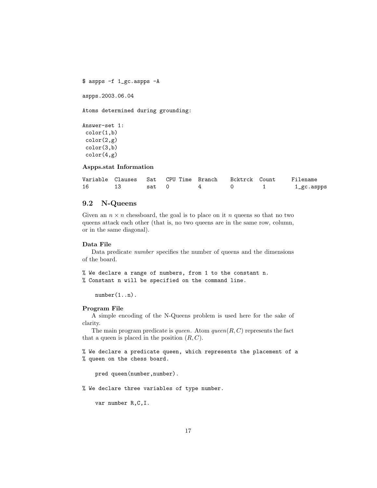```
$ aspps -f 1_gc.aspps -A
```
aspps.2003.06.04

Atoms determined during grounding:

```
Answer-set 1:
 color(1,b)color(2,g)color(3,b)
 color(4,g)
```
### Aspps.stat Information

|    |       |  |  | Variable Clauses Sat CPU-Time Branch Bcktrck Count Filename |
|----|-------|--|--|-------------------------------------------------------------|
| 16 | sat 0 |  |  | 1_gc.aspps                                                  |

# 9.2 N-Queens

Given an  $n \times n$  chessboard, the goal is to place on it n queens so that no two queens attack each other (that is, no two queens are in the same row, column, or in the same diagonal).

#### Data File

Data predicate number specifies the number of queens and the dimensions of the board.

```
% We declare a range of numbers, from 1 to the constant n.
% Constant n will be specified on the command line.
```
number(1..n).

#### Program File

A simple encoding of the N-Queens problem is used here for the sake of clarity.

The main program predicate is *queen*. Atom  $\text{green}(R, C)$  represents the fact that a queen is placed in the position  $(R, C)$ .

% We declare a predicate queen, which represents the placement of a % queen on the chess board.

pred queen(number,number).

% We declare three variables of type number.

var number R,C,I.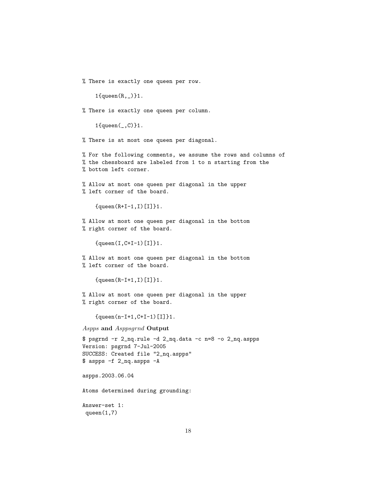% There is exactly one queen per row.

1{queen(R,\_)}1.

% There is exactly one queen per column.

1{queen(\_,C)}1.

% There is at most one queen per diagonal.

% For the following comments, we assume the rows and columns of % the chessboard are labeled from 1 to n starting from the % bottom left corner.

% Allow at most one queen per diagonal in the upper % left corner of the board.

 ${queen(R+I-1,I)[I]}$ .

% Allow at most one queen per diagonal in the bottom % right corner of the board.

{queen(I,C+I-1)[I]}1.

% Allow at most one queen per diagonal in the bottom % left corner of the board.

 ${queen(R-I+1,I)[I]}$ .

% Allow at most one queen per diagonal in the upper % right corner of the board.

{queen(n-I+1,C+I-1)[I]}1.

Aspps and Asppsgrnd Output

\$ psgrnd -r 2\_nq.rule -d 2\_nq.data -c n=8 -o 2\_nq.aspps Version: psgrnd 7-Jul-2005 SUCCESS: Created file "2\_nq.aspps" \$ aspps -f 2\_nq.aspps -A

aspps.2003.06.04

Atoms determined during grounding:

Answer-set 1: queen $(1,7)$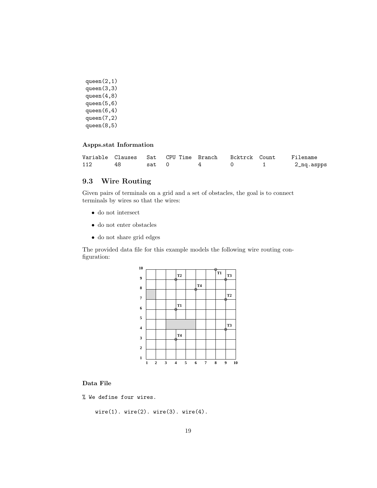```
queen(2,1)
queen(3,3)
queen(4,8)
queen(5,6)
queen(6,4)
queen(7,2)
queen(8,5)
```
### Aspps.stat Information

|     |       |  | Variable Clauses Sat CPU-Time Branch - Bcktrck Count | Filename   |
|-----|-------|--|------------------------------------------------------|------------|
| 112 | sat 0 |  |                                                      | 2_nq.aspps |

# 9.3 Wire Routing

Given pairs of terminals on a grid and a set of obstacles, the goal is to connect terminals by wires so that the wires:

- do not intersect
- $\bullet\,$  do not enter obstacles
- do not share grid edges

The provided data file for this example models the following wire routing configuration:



# Data File

% We define four wires.

 $wire(1)$ . wire $(2)$ . wire $(3)$ . wire $(4)$ .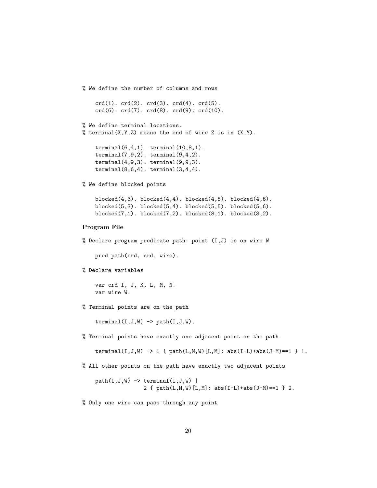```
% We define the number of columns and rows
    crd(1). crd(2). crd(3). crd(4). crd(5).
    crd(6). crd(7). crd(8). crd(9). crd(10).
% We define terminal locations.
% terminal(X,Y,Z) means the end of wire Z is in (X, Y).
    terminal(6,4,1). terminal(10,8,1).
    terminal(7,9,2). terminal(9,4,2).
    terminal(4,9,3). terminal(9,9,3).
    terminal(8,6,4). terminal(3,4,4).
% We define blocked points
    blocked(4,3). blocked(4,4). blocked(4,5). blocked(4,6).
    blocked(5,3). blocked(5,4). blocked(5,5). blocked(5,6).
    blocked(7,1). blocked(7,2). blocked(8,1). blocked(8,2).
Program File
% Declare program predicate path: point (I,J) is on wire W
    pred path(crd, crd, wire).
% Declare variables
    var crd I, J, K, L, M, N.
    var wire W.
% Terminal points are on the path
    \text{terminal}(I,J,W) \rightarrow \text{path}(I,J,W).
% Terminal points have exactly one adjacent point on the path
    terminal(I,J,W) \rightarrow 1 { path(L,M,W)[L,M]: abs(I-L)+abs(J-M)==1 } 1.
% All other points on the path have exactly two adjacent points
    path(I,J,W) -> terminal(I,J,W) |
                   2 { path(L,M,W)[L,M]: abs(I-L)+abs(J-M)==1 } 2.
```
% Only one wire can pass through any point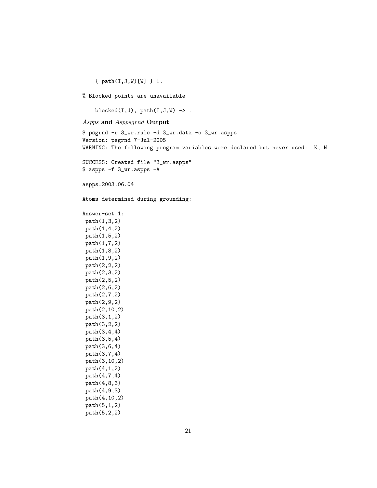{ path(I,J,W)[W] } 1.

% Blocked points are unavailable

blocked $(I,J)$ , path $(I,J,W)$  ->.

Aspps and Asppsgrnd Output

\$ psgrnd -r 3\_wr.rule -d 3\_wr.data -o 3\_wr.aspps Version: psgrnd 7-Jul-2005 WARNING: The following program variables were declared but never used: K, N SUCCESS: Created file "3\_wr.aspps" \$ aspps -f 3\_wr.aspps -A aspps.2003.06.04 Atoms determined during grounding: Answer-set 1: path(1,3,2) path(1,4,2) path(1,5,2) path(1,7,2) path(1,8,2) path(1,9,2) path(2,2,2) path(2,3,2) path(2,5,2) path(2,6,2) path(2,7,2) path(2,9,2) path(2,10,2) path(3,1,2) path(3,2,2) path(3,4,4) path(3,5,4) path(3,6,4) path(3,7,4) path(3,10,2) path(4,1,2) path(4,7,4) path(4,8,3) path(4,9,3)

```
path(4,10,2)
path(5,1,2)
path(5,2,2)
```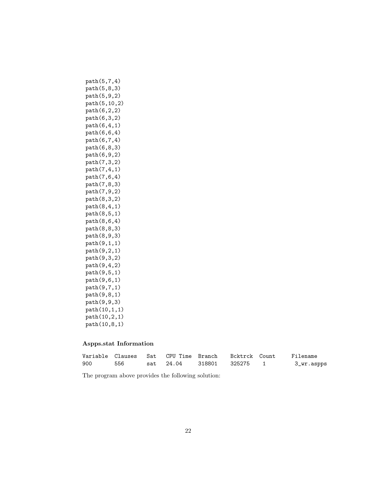```
path(5,7,4)
path(5,8,3)
path(5,9,2)
path(5,10,2)
path(6,2,2)
path(6,3,2)
path(6,4,1)
path(6,6,4)
path(6,7,4)
path(6,8,3)
path(6,9,2)
path(7,3,2)
path(7,4,1)
path(7,6,4)
path(7,8,3)
path(7,9,2)
path(8,3,2)
path(8,4,1)
path(8,5,1)
path(8,6,4)
path(8,8,3)
path(8,9,3)
path(9,1,1)
path(9,2,1)
path(9,3,2)
path(9,4,2)
path(9,5,1)
path(9,6,1)
path(9,7,1)
path(9,8,1)
path(9,9,3)
path(10,1,1)
path(10,2,1)
path(10,8,1)
```
### Aspps.stat Information

|     |     |  |                           | Filename   |
|-----|-----|--|---------------------------|------------|
| 900 | 556 |  | sat 24.04 318801 325275 1 | 3_wr.aspps |

The program above provides the following solution: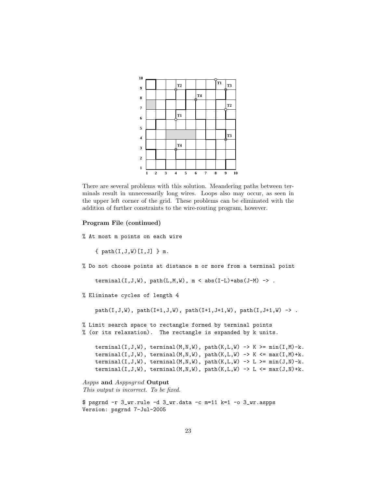

There are several problems with this solution. Meandering paths between terminals result in unnecessarily long wires. Loops also may occur, as seen in the upper left corner of the grid. These problems can be eliminated with the addition of further constraints to the wire-routing program, however.

### Program File (continued)

% At most m points on each wire

{  $path(I,J,W)[I,J]$  } m.

% Do not choose points at distance m or more from a terminal point

terminal(I,J,W), path(L,M,W),  $m < abs(I-L)+abs(J-M) \rightarrow$ .

% Eliminate cycles of length 4

 $path(I,J,W), path(I+1,J,W), path(I+1,J+1,W), path(I,J+1,W)$  ->.

% Limit search space to rectangle formed by terminal points % (or its relaxation). The rectangle is expanded by k units.

terminal(I,J,W), terminal(M,N,W), path(K,L,W)  $\rightarrow$  K  $\geq$  min(I,M)-k.  $terminal(I,J,W)$ ,  $terminal(M,N,W)$ ,  $path(K,L,W)$  ->  $K$  <=  $max(I,M)+k$ . terminal(I,J,W), terminal(M,N,W), path(K,L,W)  $\rightarrow$  L  $\rightarrow$  min(J,N)-k.  $terminal(I,J,W)$ ,  $terminal(M,N,W)$ ,  $path(K,L,W)$  ->  $L$  <=  $max(J,N)+k$ .

```
Aspps and Asppsgrnd Output
This output is incorrect. To be fixed.
```

```
$ psgrnd -r 3_wr.rule -d 3_wr.data -c m=11 k=1 -o 3_wr.aspps
Version: psgrnd 7-Jul-2005
```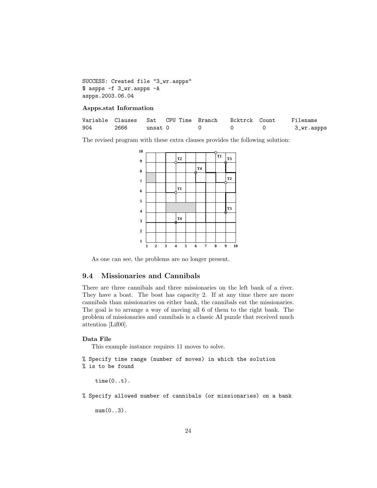SUCCESS: Created file "3\_wr.aspps" \$ aspps -f 3\_wr.aspps -A aspps.2003.06.04

### Aspps.stat Information

|     | Variable Clauses Sat CPU Time Branch |         |  | Bcktrck Count | Filename   |
|-----|--------------------------------------|---------|--|---------------|------------|
| 904 | 2666                                 | unsat O |  |               | 3_wr.aspps |

The revised program with these extra clauses provides the following solution:

| 10                      |   |              |   |                |   |                |   |                |                  |    |
|-------------------------|---|--------------|---|----------------|---|----------------|---|----------------|------------------|----|
| $\boldsymbol{9}$        |   |              |   | T2             |   |                |   | T <sub>1</sub> | T3               |    |
| 8                       |   |              |   |                |   | T <sub>4</sub> |   |                |                  |    |
| $\boldsymbol{7}$        |   |              |   |                |   | Ħ.             |   |                | T <sub>2</sub>   |    |
|                         |   |              |   | T <sub>1</sub> |   |                |   |                |                  |    |
| 6                       |   |              |   |                |   |                |   |                |                  |    |
| 5                       |   |              |   |                |   |                |   |                | T <sub>3</sub>   |    |
| $\overline{\mathbf{4}}$ |   |              |   |                |   |                |   |                | Æ                |    |
| 3                       |   |              |   | <b>T4</b>      |   |                |   |                |                  |    |
| $\overline{2}$          |   |              |   |                |   |                |   |                |                  |    |
| $\mathbf{1}$            |   |              |   |                |   |                |   |                |                  |    |
|                         | 1 | $\mathbf{2}$ | 3 | 4              | 5 | 6              | 7 | 8              | $\boldsymbol{9}$ | 10 |

As one can see, the problems are no longer present.

# 9.4 Missionaries and Cannibals

There are three cannibals and three missionaries on the left bank of a river. They have a boat. The boat has capacity 2. If at any time there are more cannibals than missionaries on either bank, the cannibals eat the missionaries. The goal is to arrange a way of moving all 6 of them to the right bank. The problem of missionaries and cannibals is a classic AI puzzle that received much attention [Lif00].

### Data File

This example instance requires 11 moves to solve.

% Specify time range (number of moves) in which the solution % is to be found

time(0..t).

% Specify allowed number of cannibals (or missionaries) on a bank

 $num(0..3)$ .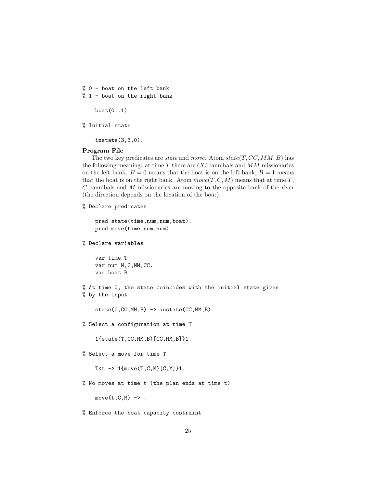% 0 - boat on the left bank  $% 1 -$  boat on the right bank

 $boat(0..1)$ .

% Initial state

instate(3,3,0).

#### Program File

The two key predicates are *state* and *move.* Atom  $state(T, CC, MM, B)$  has the following meaning: at time  $T$  there are  $CC$  cannibals and  $MM$  missionaries on the left bank.  $B = 0$  means that the boat is on the left bank,  $B = 1$  means that the boat is on the right bank. Atom  $move(T, C, M)$  means that at time T, C cannibals and M missionaries are moving to the opposite bank of the river (the direction depends on the location of the boat).

```
% Declare predicates
```

```
pred state(time,num,num,boat).
pred move(time,num,num).
```
% Declare variables

var time T. var num M,C,MM,CC. var boat B.

% At time 0, the state coincides with the initial state given % by the input

```
state(0,CC,MM,B) -> instate(CC,MM,B).
```
% Select a configuration at time T

1{state(T,CC,MM,B)[CC,MM,B]}1.

```
% Select a move for time T
```
T<t  $\rightarrow$  1{move(T,C,M)[C,M]}1.

% No moves at time t (the plan ends at time t)

 $move(t, C, M)$  ->.

% Enforce the boat capacity costraint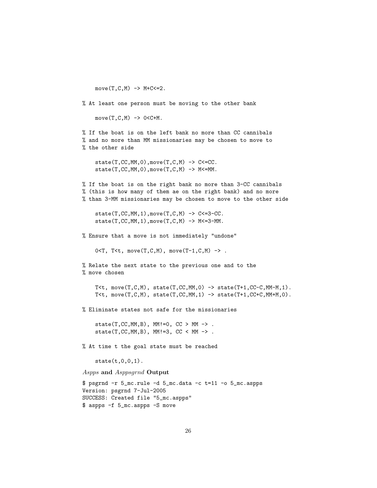$move(T, C, M)$  ->  $M+C<=2$ .

% At least one person must be moving to the other bank

 $move(T, C, M)$  ->  $O < C + M$ .

% If the boat is on the left bank no more than CC cannibals % and no more than MM missionaries may be chosen to move to % the other side

 $state(T, CC, MM, 0), move(T, C, M)$  ->  $C \leq CC$ .  $state(T, CC, MM, 0), move(T, C, M)$  -> M<=MM.

% If the boat is on the right bank no more than 3-CC cannibals % (this is how many of them ae on the right bank) and no more % than 3-MM missionaries may be chosen to move to the other side

 $state(T, CC, MM, 1), move(T, C, M)$  ->  $C<=3-CC$ .  $state(T, CC, MM, 1), move(T, C, M)$  ->  $M<=3-MM$ .

% Ensure that a move is not immediately "undone"

 $0 < T$ ,  $T < t$ , move $(T, C, M)$ , move $(T-1, C, M)$  -> .

```
% Relate the next state to the previous one and to the
% move chosen
```
T<t, move $(T, C, M)$ , state $(T, CC, MM, 0)$  -> state $(T+1, CC-C, MM-M, 1)$ . T<t, move $(T, C, M)$ , state $(T, CC, MM, 1)$  -> state $(T+1, CC+C, MM+M, 0)$ .

% Eliminate states not safe for the missionaries

state(T,CC,MM,B), MM!=0,  $CC > MM \rightarrow$ . state $(T, CC, MM, B)$ ,  $MM!=3$ ,  $CC < MM ->$ .

% At time t the goal state must be reached

 $state(t, 0, 0, 1)$ .

Aspps and Asppsgrnd Output

\$ psgrnd -r 5\_mc.rule -d 5\_mc.data -c t=11 -o 5\_mc.aspps Version: psgrnd 7-Jul-2005 SUCCESS: Created file "5\_mc.aspps" \$ aspps -f 5\_mc.aspps -S move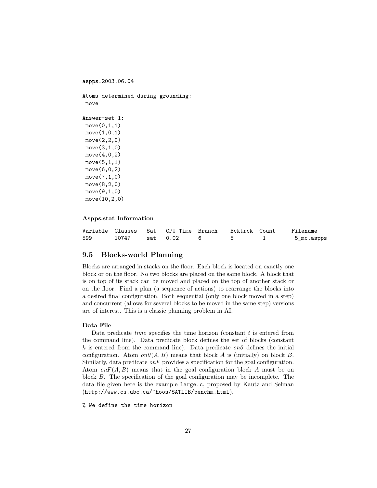```
Atoms determined during grounding:
 move
Answer-set 1:
move(0,1,1)move(1,0,1)move(2,2,0)
 move(3,1,0)move(4,0,2)
 move(5,1,1)
 move(6,0,2)
 move(7,1,0)move(8,2,0)
 move(9,1,0)move(10,2,0)
```
#### Aspps.stat Information

aspps.2003.06.04

|     |       |          |  | Filename   |
|-----|-------|----------|--|------------|
| 599 | 10747 | sat 0.02 |  | 5_mc.aspps |

### 9.5 Blocks-world Planning

Blocks are arranged in stacks on the floor. Each block is located on exactly one block or on the floor. No two blocks are placed on the same block. A block that is on top of its stack can be moved and placed on the top of another stack or on the floor. Find a plan (a sequence of actions) to rearrange the blocks into a desired final configuration. Both sequential (only one block moved in a step) and concurrent (allows for several blocks to be moved in the same step) versions are of interest. This is a classic planning problem in AI.

#### Data File

Data predicate *time* specifies the time horizon (constant  $t$  is entered from the command line). Data predicate block defines the set of blocks (constant k is entered from the command line). Data predicate  $on\theta$  defines the initial configuration. Atom  $on\theta(A, B)$  means that block A is (initially) on block B. Similarly, data predicate  $\omega n$  provides a specification for the goal configuration. Atom  $onF(A, B)$  means that in the goal configuration block A must be on block B. The specification of the goal configuration may be incomplete. The data file given here is the example large.c, proposed by Kautz and Selman (http://www.cs.ubc.ca/~hoos/SATLIB/benchm.html).

% We define the time horizon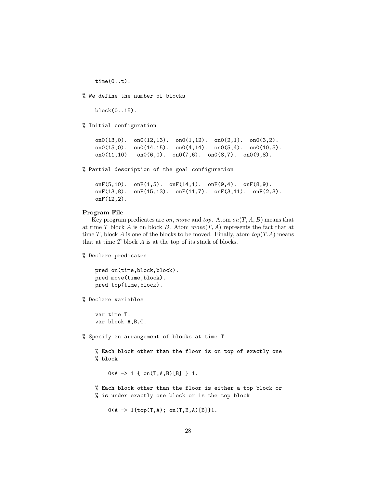time(0..t).

% We define the number of blocks

block(0..15).

% Initial configuration

on0(13,0). on0(12,13). on0(1,12). on0(2,1). on0(3,2). on0(15,0). on0(14,15). on0(4,14). on0(5,4). on0(10,5). on0(11,10). on0(6,0). on0(7,6). on0(8,7). on0(9,8).

% Partial description of the goal configuration

```
onF(5,10). onF(1,5). onF(14,1). onF(9,4). onF(8,9).
onF(13,8). onF(15,13). onF(11,7). onF(3,11). onF(2,3).
onF(12,2).
```
#### Program File

Key program predicates are on, move and top. Atom on  $(T, A, B)$  means that at time T block A is on block B. Atom  $move(T, A)$  represents the fact that at time T, block A is one of the blocks to be moved. Finally, atom  $top(T.A)$  means that at time  $T$  block  $A$  is at the top of its stack of blocks.

% Declare predicates

```
pred on(time,block,block).
pred move(time,block).
pred top(time,block).
```
% Declare variables

var time T. var block A,B,C.

% Specify an arrangement of blocks at time T

% Each block other than the floor is on top of exactly one % block

 $0 < A \rightarrow 1 \{ on(T,A,B) [B] \} 1.$ 

% Each block other than the floor is either a top block or % is under exactly one block or is the top block

 $0 < A \rightarrow 1$ {top(T,A); on(T,B,A)[B]}1.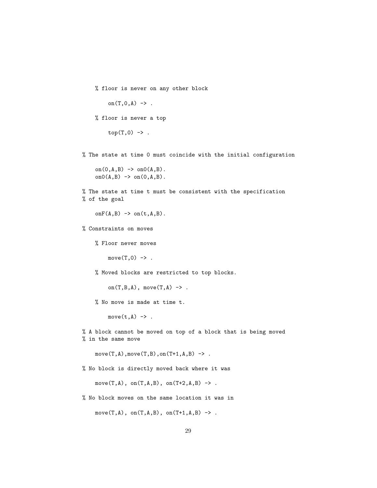```
% floor is never on any other block
     on(T, 0, A) \rightarrow .% floor is never a top
    top(T,0) \rightarrow.
```
% The state at time 0 must coincide with the initial configuration

on $(0, A, B)$  -> on $0(A, B)$ . on $0(A,B) \rightarrow$  on $(0,A,B)$ .

% The state at time t must be consistent with the specification % of the goal

 $onF(A,B) \rightarrow on(t,A,B)$ .

% Constraints on moves

% Floor never moves

 $move(T, 0)$  ->.

% Moved blocks are restricted to top blocks.

on $(T,B,A)$ , move $(T,A) \rightarrow$ .

% No move is made at time t.

 $move(t, A)$  ->.

% A block cannot be moved on top of a block that is being moved % in the same move

 $move(T, A), move(T, B), on(T+1, A, B)$  ->.

% No block is directly moved back where it was

move $(T,A)$ , on $(T,A,B)$ , on $(T+2,A,B)$  -> .

% No block moves on the same location it was in

 $move(T, A), on(T, A, B), on(T+1, A, B)$  ->.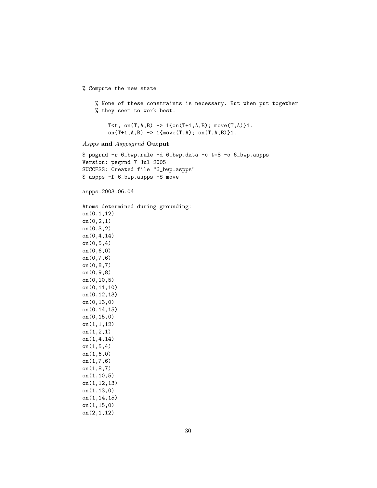```
% Compute the new state
    % None of these constraints is necessary. But when put together
    % they seem to work best.
        T<t, on(T, A, B) -> 1{on(T+1, A, B); move(T, A)}1.
        on(T+1,A,B) \rightarrow 1{move(T,A); on(T,A,B)}1.
Aspps and Asppsgrnd Output
$ psgrnd -r 6_bwp.rule -d 6_bwp.data -c t=8 -o 6_bwp.aspps
Version: psgrnd 7-Jul-2005
SUCCESS: Created file "6_bwp.aspps"
$ aspps -f 6_bwp.aspps -S move
aspps.2003.06.04
Atoms determined during grounding:
on(0,1,12)
on(0,2,1)
on(0,3,2)
on(0,4,14)
on(0,5,4)
on(0,6,0)
on(0,7,6)
on(0,8,7)
on(0,9,8)
on(0,10,5)
on(0,11,10)
on(0,12,13)
on(0,13,0)
on(0,14,15)
on(0,15,0)
on(1,1,12)
on(1,2,1)
on(1,4,14)
on(1,5,4)
on(1,6,0)
on(1,7,6)
on(1,8,7)
on(1,10,5)
on(1,12,13)
on(1,13,0)
on(1,14,15)
on(1,15,0)
on(2,1,12)
```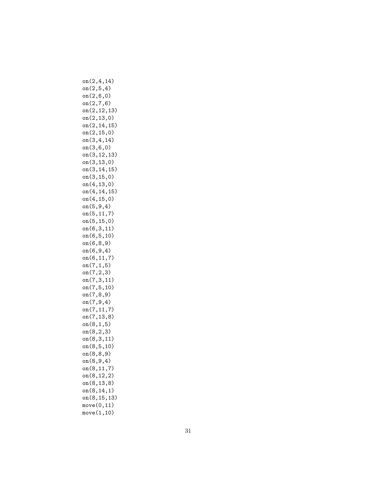on(2,4,14) on(2,5,4) on(2,6,0) on(2,7,6) on(2,12,13) on(2,13,0) on(2,14,15) on(2,15,0) on(3,4,14) on(3,6,0) on(3,12,13) on(3,13,0) on(3,14,15) on(3,15,0) on(4,13,0) on(4,14,15) on(4,15,0) on(5,9,4) on(5,11,7) on(5,15,0) on(6,3,11) on(6,5,10) on(6,8,9) on(6,9,4) on(6,11,7) on(7,1,5) on(7,2,3) on(7,3,11) on(7,5,10) on(7,8,9) on(7,9,4) on(7,11,7) on(7,13,8) on(8,1,5) on(8,2,3) on(8,3,11) on(8,5,10) on(8,8,9) on(8,9,4) on(8,11,7) on(8,12,2) on(8,13,8) on(8,14,1) on(8,15,13) move(0,11) move(1,10)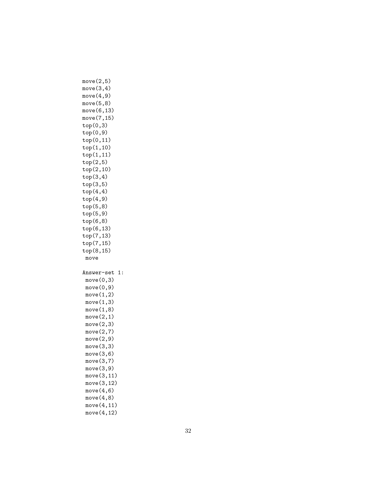| move(2, 5)<br>move(3, 4)<br>move(4, 9)<br>move(5, 8)<br>move(6, 13)<br>move(7,15)<br>top(0,3)<br>top(0, 9)<br>top(0,11)<br>top(1,10)<br>top(1,11)<br>top(2,5)<br>top(2,10)<br>top(3,4)<br>top(3,5)<br>top(4,4)<br>top(4, 9)<br>top(5,8)<br>top(5, 9)<br>top(6,8)<br>top(6,13) |
|-------------------------------------------------------------------------------------------------------------------------------------------------------------------------------------------------------------------------------------------------------------------------------|
| top(7,13)                                                                                                                                                                                                                                                                     |
| top(7,15)                                                                                                                                                                                                                                                                     |
| top(8,15)<br>move                                                                                                                                                                                                                                                             |
|                                                                                                                                                                                                                                                                               |
| Answer-set<br>1:                                                                                                                                                                                                                                                              |
| move(0, 3)                                                                                                                                                                                                                                                                    |
| move(0, 9)                                                                                                                                                                                                                                                                    |
| move(1,2)                                                                                                                                                                                                                                                                     |
| move(1, 3)                                                                                                                                                                                                                                                                    |
| move(1, 8)<br>move(2,1)                                                                                                                                                                                                                                                       |
| move(2, 3)                                                                                                                                                                                                                                                                    |
| move(2,7)                                                                                                                                                                                                                                                                     |
| move(2, 9)                                                                                                                                                                                                                                                                    |
| move(3, 3)                                                                                                                                                                                                                                                                    |
| move(3, 6)                                                                                                                                                                                                                                                                    |
| move(3,7)                                                                                                                                                                                                                                                                     |
| move $(3,9)$                                                                                                                                                                                                                                                                  |
| move(3, 11)                                                                                                                                                                                                                                                                   |
| move(3, 12)                                                                                                                                                                                                                                                                   |
| move(4, 6)                                                                                                                                                                                                                                                                    |
|                                                                                                                                                                                                                                                                               |
| move(4, 8)<br>move(4, 11)                                                                                                                                                                                                                                                     |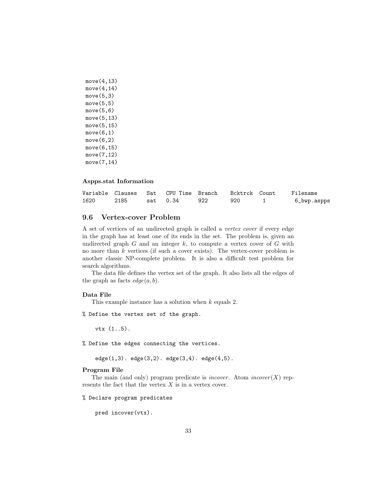```
move(4,13)
move(4,14)
move(5,3)
move(5, 5)move(5, 6)move(5,13)
move(5,15)
move(6,1)move(6,2)move(6,15)
move(7,12)
move(7,14)
```
#### Aspps.stat Information

|      |      |          |     |     | Variable Clauses  Sat  CPU Time Branch  Bcktrck Count  Filename |
|------|------|----------|-----|-----|-----------------------------------------------------------------|
| 1620 | 2185 | sat 0.34 | 922 | 920 | 6_bwp.aspps                                                     |

# 9.6 Vertex-cover Problem

A set of vertices of an undirected graph is called a vertex cover if every edge in the graph has at least one of its ends in the set. The problem is, given an undirected graph  $G$  and an integer  $k$ , to compute a vertex cover of  $G$  with no more than  $k$  vertices (if such a cover exists). The vertex-cover problem is another classic NP-complete problem. It is also a difficult test problem for search algorithms.

The data file defines the vertex set of the graph. It also lists all the edges of the graph as facts  $edge(a, b)$ .

### Data File

This example instance has a solution when k equals 2.

% Define the vertex set of the graph.

vtx (1..5).

% Define the edges connecting the vertices.

edge(1,3). edge(3,2). edge(3,4). edge(4,5).

#### Program File

The main (and only) program predicate is *incover*. Atom *incover*  $(X)$  represents the fact that the vertex  $X$  is in a vertex cover.

% Declare program predicates

pred incover(vtx).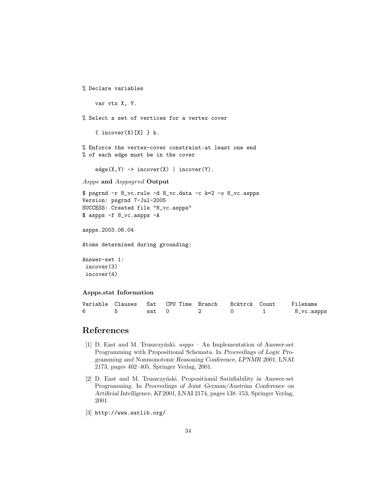```
% Declare variables
    var vtx X, Y.
% Select a set of vertices for a vertex cover
    { \n  <i>incover</i>(X)[X] } k.% Enforce the vertex-cover constraint:at least one end
% of each edge must be in the cover
    edge(X,Y) -> incorrect(X) | incorrect(Y).
Aspps and Asppsgrnd Output
$ psgrnd -r 8_vc.rule -d 8_vc.data -c k=2 -o 8_vc.aspps
Version: psgrnd 7-Jul-2005
SUCCESS: Created file "8_vc.aspps"
$ aspps -f 8_vc.aspps -A
aspps.2003.06.04
Atoms determined during grounding:
Answer-set 1:
 incover(3)
 incover(4)
```
### Aspps.stat Information

|  |       | Variable Clauses Sat CPU-Time Branch - Bcktrck Count |  | Filename   |
|--|-------|------------------------------------------------------|--|------------|
|  | sat 0 |                                                      |  | 8_vc.aspps |

# References

- [1] D. East and M. Truszczyński.  $aspps$  An Implementation of Answer-set Programming with Propositional Schemata. In Proceedings of Logic Programming and Nonmonotonic Reasoning Conference, LPNMR 2001, LNAI 2173, pages 402–405, Springer Verlag, 2001.
- [2] D. East and M. Truszczyński. Propositional Satisfiability in Answer-set Programming. In Proceedings of Joint German/Austrian Conference on Artificial Intelligence, KI'2001, LNAI 2174, pages 138–153, Springer Verlag, 2001.
- [3] http://www.satlib.org/